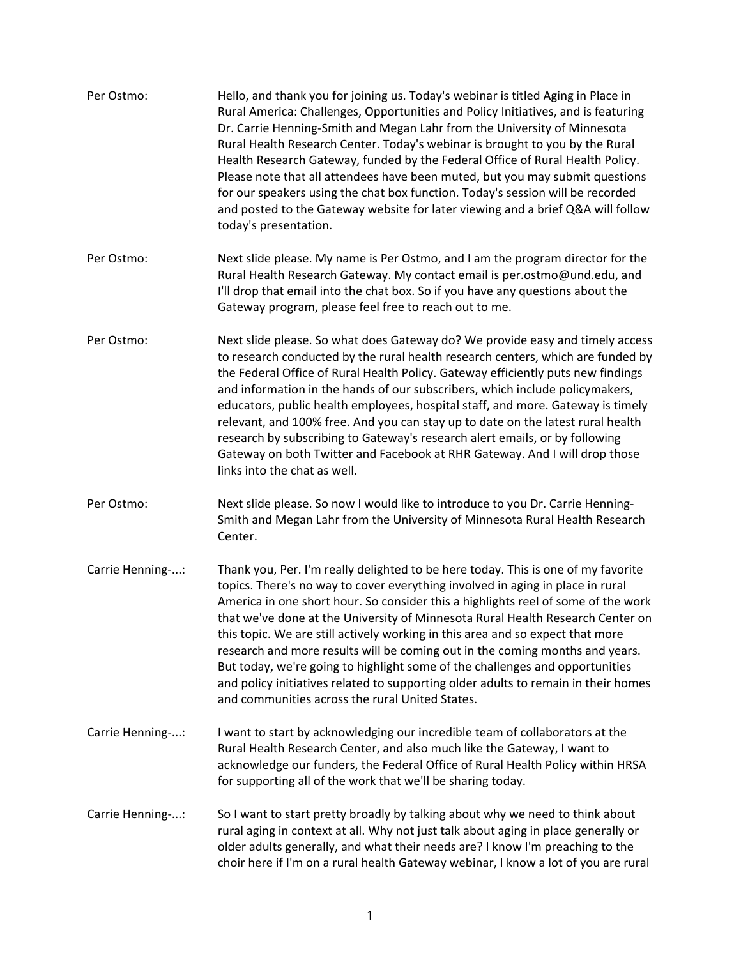| Per Ostmo:       | Hello, and thank you for joining us. Today's webinar is titled Aging in Place in<br>Rural America: Challenges, Opportunities and Policy Initiatives, and is featuring<br>Dr. Carrie Henning-Smith and Megan Lahr from the University of Minnesota<br>Rural Health Research Center. Today's webinar is brought to you by the Rural<br>Health Research Gateway, funded by the Federal Office of Rural Health Policy.<br>Please note that all attendees have been muted, but you may submit questions<br>for our speakers using the chat box function. Today's session will be recorded<br>and posted to the Gateway website for later viewing and a brief Q&A will follow<br>today's presentation.                                      |
|------------------|---------------------------------------------------------------------------------------------------------------------------------------------------------------------------------------------------------------------------------------------------------------------------------------------------------------------------------------------------------------------------------------------------------------------------------------------------------------------------------------------------------------------------------------------------------------------------------------------------------------------------------------------------------------------------------------------------------------------------------------|
| Per Ostmo:       | Next slide please. My name is Per Ostmo, and I am the program director for the<br>Rural Health Research Gateway. My contact email is per.ostmo@und.edu, and<br>I'll drop that email into the chat box. So if you have any questions about the<br>Gateway program, please feel free to reach out to me.                                                                                                                                                                                                                                                                                                                                                                                                                                |
| Per Ostmo:       | Next slide please. So what does Gateway do? We provide easy and timely access<br>to research conducted by the rural health research centers, which are funded by<br>the Federal Office of Rural Health Policy. Gateway efficiently puts new findings<br>and information in the hands of our subscribers, which include policymakers,<br>educators, public health employees, hospital staff, and more. Gateway is timely<br>relevant, and 100% free. And you can stay up to date on the latest rural health<br>research by subscribing to Gateway's research alert emails, or by following<br>Gateway on both Twitter and Facebook at RHR Gateway. And I will drop those<br>links into the chat as well.                               |
| Per Ostmo:       | Next slide please. So now I would like to introduce to you Dr. Carrie Henning-<br>Smith and Megan Lahr from the University of Minnesota Rural Health Research<br>Center.                                                                                                                                                                                                                                                                                                                                                                                                                                                                                                                                                              |
| Carrie Henning-: | Thank you, Per. I'm really delighted to be here today. This is one of my favorite<br>topics. There's no way to cover everything involved in aging in place in rural<br>America in one short hour. So consider this a highlights reel of some of the work<br>that we've done at the University of Minnesota Rural Health Research Center on<br>this topic. We are still actively working in this area and so expect that more<br>research and more results will be coming out in the coming months and years.<br>But today, we're going to highlight some of the challenges and opportunities<br>and policy initiatives related to supporting older adults to remain in their homes<br>and communities across the rural United States. |
| Carrie Henning-: | I want to start by acknowledging our incredible team of collaborators at the<br>Rural Health Research Center, and also much like the Gateway, I want to<br>acknowledge our funders, the Federal Office of Rural Health Policy within HRSA<br>for supporting all of the work that we'll be sharing today.                                                                                                                                                                                                                                                                                                                                                                                                                              |
| Carrie Henning-: | So I want to start pretty broadly by talking about why we need to think about<br>rural aging in context at all. Why not just talk about aging in place generally or<br>older adults generally, and what their needs are? I know I'm preaching to the<br>choir here if I'm on a rural health Gateway webinar, I know a lot of you are rural                                                                                                                                                                                                                                                                                                                                                                                            |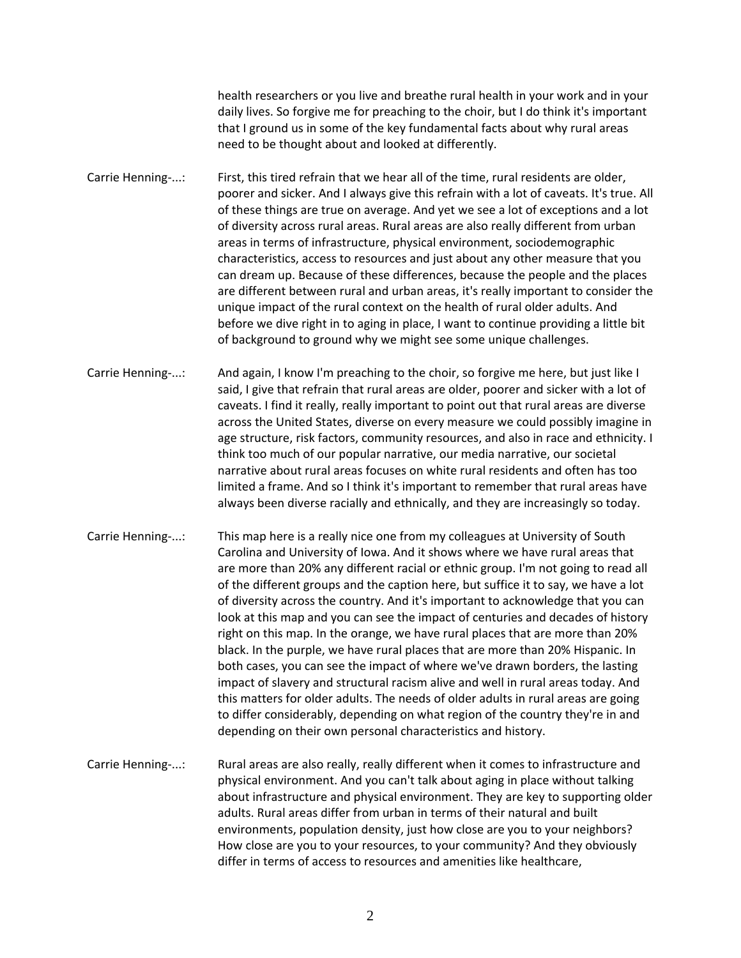health researchers or you live and breathe rural health in your work and in your daily lives. So forgive me for preaching to the choir, but I do think it's important that I ground us in some of the key fundamental facts about why rural areas need to be thought about and looked at differently.

Carrie Henning-...: First, this tired refrain that we hear all of the time, rural residents are older, poorer and sicker. And I always give this refrain with a lot of caveats. It's true. All of these things are true on average. And yet we see a lot of exceptions and a lot of diversity across rural areas. Rural areas are also really different from urban areas in terms of infrastructure, physical environment, sociodemographic characteristics, access to resources and just about any other measure that you can dream up. Because of these differences, because the people and the places are different between rural and urban areas, it's really important to consider the unique impact of the rural context on the health of rural older adults. And before we dive right in to aging in place, I want to continue providing a little bit of background to ground why we might see some unique challenges.

Carrie Henning-...: And again, I know I'm preaching to the choir, so forgive me here, but just like I said, I give that refrain that rural areas are older, poorer and sicker with a lot of caveats. I find it really, really important to point out that rural areas are diverse across the United States, diverse on every measure we could possibly imagine in age structure, risk factors, community resources, and also in race and ethnicity. I think too much of our popular narrative, our media narrative, our societal narrative about rural areas focuses on white rural residents and often has too limited a frame. And so I think it's important to remember that rural areas have always been diverse racially and ethnically, and they are increasingly so today.

Carrie Henning-...: This map here is a really nice one from my colleagues at University of South Carolina and University of Iowa. And it shows where we have rural areas that are more than 20% any different racial or ethnic group. I'm not going to read all of the different groups and the caption here, but suffice it to say, we have a lot of diversity across the country. And it's important to acknowledge that you can look at this map and you can see the impact of centuries and decades of history right on this map. In the orange, we have rural places that are more than 20% black. In the purple, we have rural places that are more than 20% Hispanic. In both cases, you can see the impact of where we've drawn borders, the lasting impact of slavery and structural racism alive and well in rural areas today. And this matters for older adults. The needs of older adults in rural areas are going to differ considerably, depending on what region of the country they're in and depending on their own personal characteristics and history.

Carrie Henning-...: Rural areas are also really, really different when it comes to infrastructure and physical environment. And you can't talk about aging in place without talking about infrastructure and physical environment. They are key to supporting older adults. Rural areas differ from urban in terms of their natural and built environments, population density, just how close are you to your neighbors? How close are you to your resources, to your community? And they obviously differ in terms of access to resources and amenities like healthcare,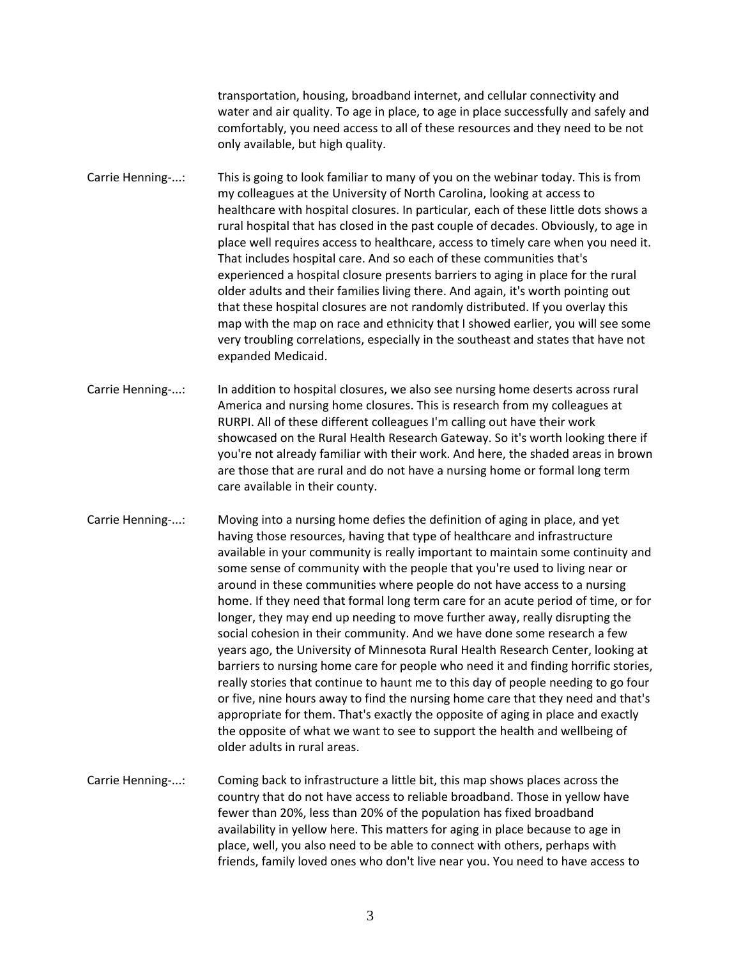transportation, housing, broadband internet, and cellular connectivity and water and air quality. To age in place, to age in place successfully and safely and comfortably, you need access to all of these resources and they need to be not only available, but high quality.

Carrie Henning-...: This is going to look familiar to many of you on the webinar today. This is from my colleagues at the University of North Carolina, looking at access to healthcare with hospital closures. In particular, each of these little dots shows a rural hospital that has closed in the past couple of decades. Obviously, to age in place well requires access to healthcare, access to timely care when you need it. That includes hospital care. And so each of these communities that's experienced a hospital closure presents barriers to aging in place for the rural older adults and their families living there. And again, it's worth pointing out that these hospital closures are not randomly distributed. If you overlay this map with the map on race and ethnicity that I showed earlier, you will see some very troubling correlations, especially in the southeast and states that have not expanded Medicaid.

Carrie Henning-...: In addition to hospital closures, we also see nursing home deserts across rural America and nursing home closures. This is research from my colleagues at RURPI. All of these different colleagues I'm calling out have their work showcased on the Rural Health Research Gateway. So it's worth looking there if you're not already familiar with their work. And here, the shaded areas in brown are those that are rural and do not have a nursing home or formal long term care available in their county.

Carrie Henning-...: Moving into a nursing home defies the definition of aging in place, and yet having those resources, having that type of healthcare and infrastructure available in your community is really important to maintain some continuity and some sense of community with the people that you're used to living near or around in these communities where people do not have access to a nursing home. If they need that formal long term care for an acute period of time, or for longer, they may end up needing to move further away, really disrupting the social cohesion in their community. And we have done some research a few years ago, the University of Minnesota Rural Health Research Center, looking at barriers to nursing home care for people who need it and finding horrific stories, really stories that continue to haunt me to this day of people needing to go four or five, nine hours away to find the nursing home care that they need and that's appropriate for them. That's exactly the opposite of aging in place and exactly the opposite of what we want to see to support the health and wellbeing of older adults in rural areas.

Carrie Henning-...: Coming back to infrastructure a little bit, this map shows places across the country that do not have access to reliable broadband. Those in yellow have fewer than 20%, less than 20% of the population has fixed broadband availability in yellow here. This matters for aging in place because to age in place, well, you also need to be able to connect with others, perhaps with friends, family loved ones who don't live near you. You need to have access to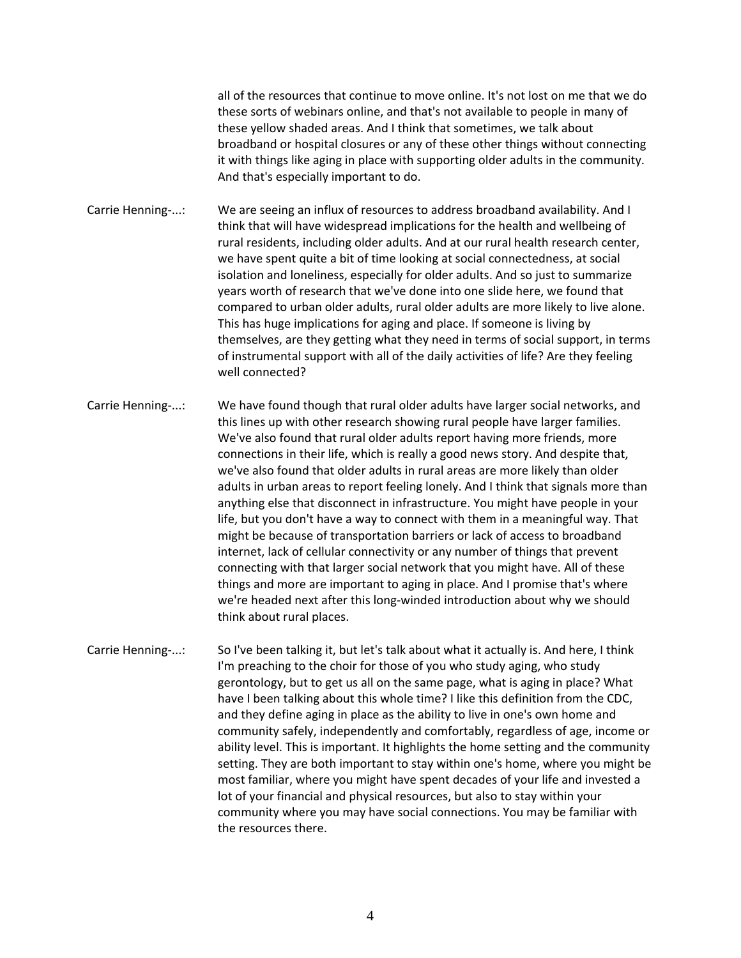all of the resources that continue to move online. It's not lost on me that we do these sorts of webinars online, and that's not available to people in many of these yellow shaded areas. And I think that sometimes, we talk about broadband or hospital closures or any of these other things without connecting it with things like aging in place with supporting older adults in the community. And that's especially important to do.

Carrie Henning-...: We are seeing an influx of resources to address broadband availability. And I think that will have widespread implications for the health and wellbeing of rural residents, including older adults. And at our rural health research center, we have spent quite a bit of time looking at social connectedness, at social isolation and loneliness, especially for older adults. And so just to summarize years worth of research that we've done into one slide here, we found that compared to urban older adults, rural older adults are more likely to live alone. This has huge implications for aging and place. If someone is living by themselves, are they getting what they need in terms of social support, in terms of instrumental support with all of the daily activities of life? Are they feeling well connected?

Carrie Henning-...: We have found though that rural older adults have larger social networks, and this lines up with other research showing rural people have larger families. We've also found that rural older adults report having more friends, more connections in their life, which is really a good news story. And despite that, we've also found that older adults in rural areas are more likely than older adults in urban areas to report feeling lonely. And I think that signals more than anything else that disconnect in infrastructure. You might have people in your life, but you don't have a way to connect with them in a meaningful way. That might be because of transportation barriers or lack of access to broadband internet, lack of cellular connectivity or any number of things that prevent connecting with that larger social network that you might have. All of these things and more are important to aging in place. And I promise that's where we're headed next after this long-winded introduction about why we should think about rural places.

Carrie Henning-...: So I've been talking it, but let's talk about what it actually is. And here, I think I'm preaching to the choir for those of you who study aging, who study gerontology, but to get us all on the same page, what is aging in place? What have I been talking about this whole time? I like this definition from the CDC, and they define aging in place as the ability to live in one's own home and community safely, independently and comfortably, regardless of age, income or ability level. This is important. It highlights the home setting and the community setting. They are both important to stay within one's home, where you might be most familiar, where you might have spent decades of your life and invested a lot of your financial and physical resources, but also to stay within your community where you may have social connections. You may be familiar with the resources there.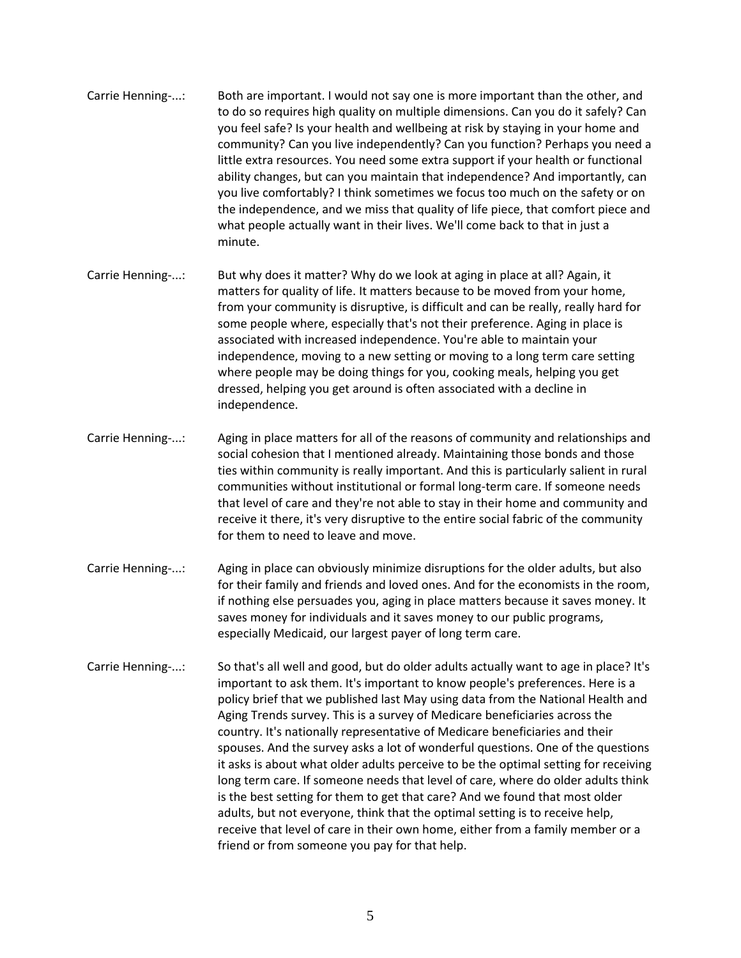- Carrie Henning-...: Both are important. I would not say one is more important than the other, and to do so requires high quality on multiple dimensions. Can you do it safely? Can you feel safe? Is your health and wellbeing at risk by staying in your home and community? Can you live independently? Can you function? Perhaps you need a little extra resources. You need some extra support if your health or functional ability changes, but can you maintain that independence? And importantly, can you live comfortably? I think sometimes we focus too much on the safety or on the independence, and we miss that quality of life piece, that comfort piece and what people actually want in their lives. We'll come back to that in just a minute.
- Carrie Henning-...: But why does it matter? Why do we look at aging in place at all? Again, it matters for quality of life. It matters because to be moved from your home, from your community is disruptive, is difficult and can be really, really hard for some people where, especially that's not their preference. Aging in place is associated with increased independence. You're able to maintain your independence, moving to a new setting or moving to a long term care setting where people may be doing things for you, cooking meals, helping you get dressed, helping you get around is often associated with a decline in independence.
- Carrie Henning-...: Aging in place matters for all of the reasons of community and relationships and social cohesion that I mentioned already. Maintaining those bonds and those ties within community is really important. And this is particularly salient in rural communities without institutional or formal long-term care. If someone needs that level of care and they're not able to stay in their home and community and receive it there, it's very disruptive to the entire social fabric of the community for them to need to leave and move.
- Carrie Henning-...: Aging in place can obviously minimize disruptions for the older adults, but also for their family and friends and loved ones. And for the economists in the room, if nothing else persuades you, aging in place matters because it saves money. It saves money for individuals and it saves money to our public programs, especially Medicaid, our largest payer of long term care.
- Carrie Henning-...: So that's all well and good, but do older adults actually want to age in place? It's important to ask them. It's important to know people's preferences. Here is a policy brief that we published last May using data from the National Health and Aging Trends survey. This is a survey of Medicare beneficiaries across the country. It's nationally representative of Medicare beneficiaries and their spouses. And the survey asks a lot of wonderful questions. One of the questions it asks is about what older adults perceive to be the optimal setting for receiving long term care. If someone needs that level of care, where do older adults think is the best setting for them to get that care? And we found that most older adults, but not everyone, think that the optimal setting is to receive help, receive that level of care in their own home, either from a family member or a friend or from someone you pay for that help.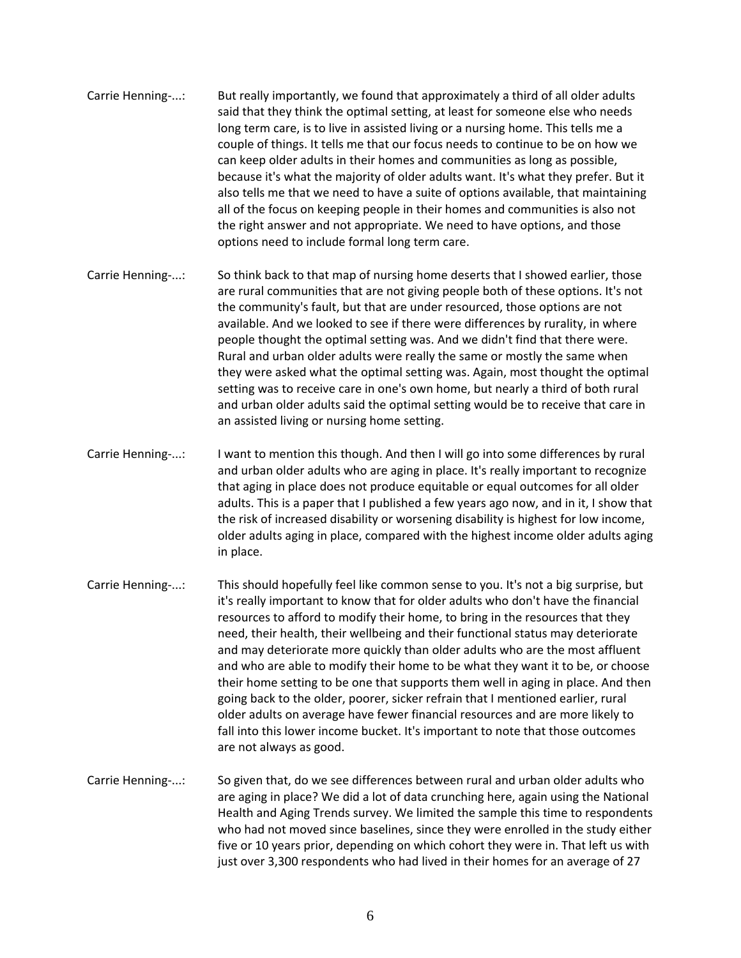- Carrie Henning-...: But really importantly, we found that approximately a third of all older adults said that they think the optimal setting, at least for someone else who needs long term care, is to live in assisted living or a nursing home. This tells me a couple of things. It tells me that our focus needs to continue to be on how we can keep older adults in their homes and communities as long as possible, because it's what the majority of older adults want. It's what they prefer. But it also tells me that we need to have a suite of options available, that maintaining all of the focus on keeping people in their homes and communities is also not the right answer and not appropriate. We need to have options, and those options need to include formal long term care.
- Carrie Henning-...: So think back to that map of nursing home deserts that I showed earlier, those are rural communities that are not giving people both of these options. It's not the community's fault, but that are under resourced, those options are not available. And we looked to see if there were differences by rurality, in where people thought the optimal setting was. And we didn't find that there were. Rural and urban older adults were really the same or mostly the same when they were asked what the optimal setting was. Again, most thought the optimal setting was to receive care in one's own home, but nearly a third of both rural and urban older adults said the optimal setting would be to receive that care in an assisted living or nursing home setting.
- Carrie Henning-...: I want to mention this though. And then I will go into some differences by rural and urban older adults who are aging in place. It's really important to recognize that aging in place does not produce equitable or equal outcomes for all older adults. This is a paper that I published a few years ago now, and in it, I show that the risk of increased disability or worsening disability is highest for low income, older adults aging in place, compared with the highest income older adults aging in place.
- Carrie Henning-...: This should hopefully feel like common sense to you. It's not a big surprise, but it's really important to know that for older adults who don't have the financial resources to afford to modify their home, to bring in the resources that they need, their health, their wellbeing and their functional status may deteriorate and may deteriorate more quickly than older adults who are the most affluent and who are able to modify their home to be what they want it to be, or choose their home setting to be one that supports them well in aging in place. And then going back to the older, poorer, sicker refrain that I mentioned earlier, rural older adults on average have fewer financial resources and are more likely to fall into this lower income bucket. It's important to note that those outcomes are not always as good.
- Carrie Henning-...: So given that, do we see differences between rural and urban older adults who are aging in place? We did a lot of data crunching here, again using the National Health and Aging Trends survey. We limited the sample this time to respondents who had not moved since baselines, since they were enrolled in the study either five or 10 years prior, depending on which cohort they were in. That left us with just over 3,300 respondents who had lived in their homes for an average of 27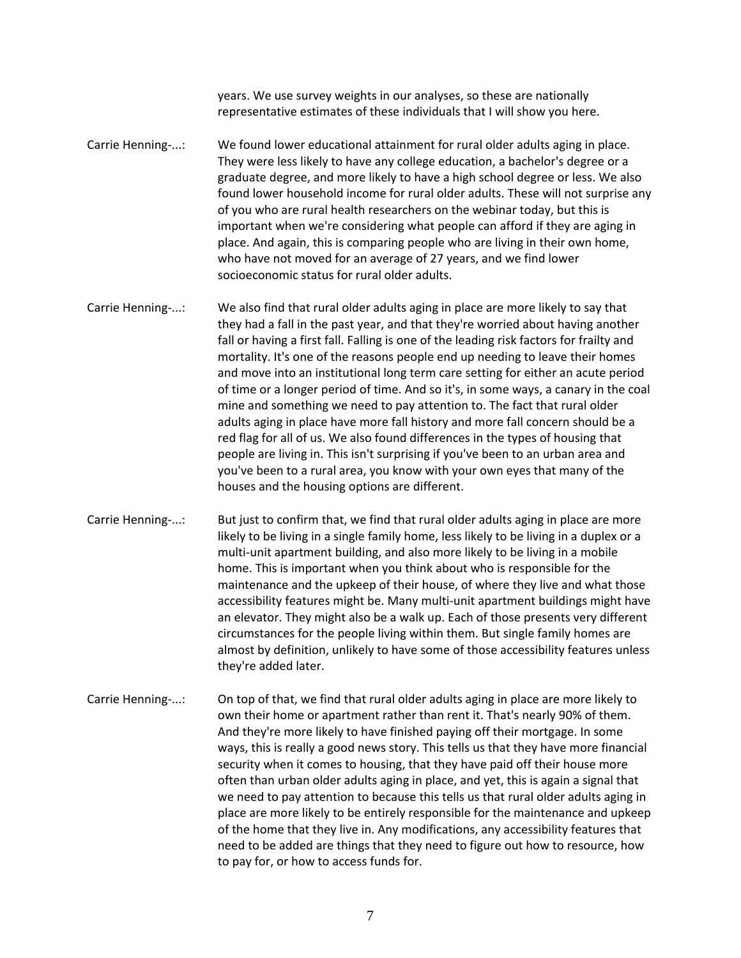years. We use survey weights in our analyses, so these are nationally representative estimates of these individuals that I will show you here.

Carrie Henning-...: We found lower educational attainment for rural older adults aging in place. They were less likely to have any college education, a bachelor's degree or a graduate degree, and more likely to have a high school degree or less. We also found lower household income for rural older adults. These will not surprise any of you who are rural health researchers on the webinar today, but this is important when we're considering what people can afford if they are aging in place. And again, this is comparing people who are living in their own home, who have not moved for an average of 27 years, and we find lower socioeconomic status for rural older adults.

Carrie Henning-...: We also find that rural older adults aging in place are more likely to say that they had a fall in the past year, and that they're worried about having another fall or having a first fall. Falling is one of the leading risk factors for frailty and mortality. It's one of the reasons people end up needing to leave their homes and move into an institutional long term care setting for either an acute period of time or a longer period of time. And so it's, in some ways, a canary in the coal mine and something we need to pay attention to. The fact that rural older adults aging in place have more fall history and more fall concern should be a red flag for all of us. We also found differences in the types of housing that people are living in. This isn't surprising if you've been to an urban area and you've been to a rural area, you know with your own eyes that many of the houses and the housing options are different.

Carrie Henning-...: But just to confirm that, we find that rural older adults aging in place are more likely to be living in a single family home, less likely to be living in a duplex or a multi-unit apartment building, and also more likely to be living in a mobile home. This is important when you think about who is responsible for the maintenance and the upkeep of their house, of where they live and what those accessibility features might be. Many multi-unit apartment buildings might have an elevator. They might also be a walk up. Each of those presents very different circumstances for the people living within them. But single family homes are almost by definition, unlikely to have some of those accessibility features unless they're added later.

Carrie Henning-...: On top of that, we find that rural older adults aging in place are more likely to own their home or apartment rather than rent it. That's nearly 90% of them. And they're more likely to have finished paying off their mortgage. In some ways, this is really a good news story. This tells us that they have more financial security when it comes to housing, that they have paid off their house more often than urban older adults aging in place, and yet, this is again a signal that we need to pay attention to because this tells us that rural older adults aging in place are more likely to be entirely responsible for the maintenance and upkeep of the home that they live in. Any modifications, any accessibility features that need to be added are things that they need to figure out how to resource, how to pay for, or how to access funds for.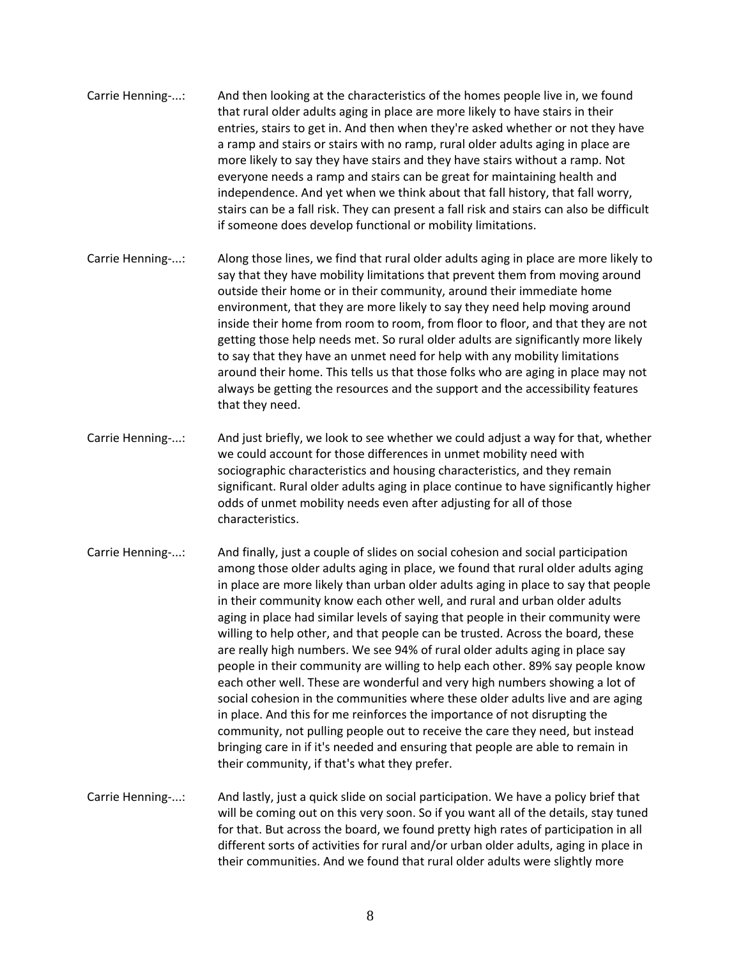- Carrie Henning-...: And then looking at the characteristics of the homes people live in, we found that rural older adults aging in place are more likely to have stairs in their entries, stairs to get in. And then when they're asked whether or not they have a ramp and stairs or stairs with no ramp, rural older adults aging in place are more likely to say they have stairs and they have stairs without a ramp. Not everyone needs a ramp and stairs can be great for maintaining health and independence. And yet when we think about that fall history, that fall worry, stairs can be a fall risk. They can present a fall risk and stairs can also be difficult if someone does develop functional or mobility limitations.
- Carrie Henning-...: Along those lines, we find that rural older adults aging in place are more likely to say that they have mobility limitations that prevent them from moving around outside their home or in their community, around their immediate home environment, that they are more likely to say they need help moving around inside their home from room to room, from floor to floor, and that they are not getting those help needs met. So rural older adults are significantly more likely to say that they have an unmet need for help with any mobility limitations around their home. This tells us that those folks who are aging in place may not always be getting the resources and the support and the accessibility features that they need.
- Carrie Henning-...: And just briefly, we look to see whether we could adjust a way for that, whether we could account for those differences in unmet mobility need with sociographic characteristics and housing characteristics, and they remain significant. Rural older adults aging in place continue to have significantly higher odds of unmet mobility needs even after adjusting for all of those characteristics.
- Carrie Henning-...: And finally, just a couple of slides on social cohesion and social participation among those older adults aging in place, we found that rural older adults aging in place are more likely than urban older adults aging in place to say that people in their community know each other well, and rural and urban older adults aging in place had similar levels of saying that people in their community were willing to help other, and that people can be trusted. Across the board, these are really high numbers. We see 94% of rural older adults aging in place say people in their community are willing to help each other. 89% say people know each other well. These are wonderful and very high numbers showing a lot of social cohesion in the communities where these older adults live and are aging in place. And this for me reinforces the importance of not disrupting the community, not pulling people out to receive the care they need, but instead bringing care in if it's needed and ensuring that people are able to remain in their community, if that's what they prefer.
- Carrie Henning-...: And lastly, just a quick slide on social participation. We have a policy brief that will be coming out on this very soon. So if you want all of the details, stay tuned for that. But across the board, we found pretty high rates of participation in all different sorts of activities for rural and/or urban older adults, aging in place in their communities. And we found that rural older adults were slightly more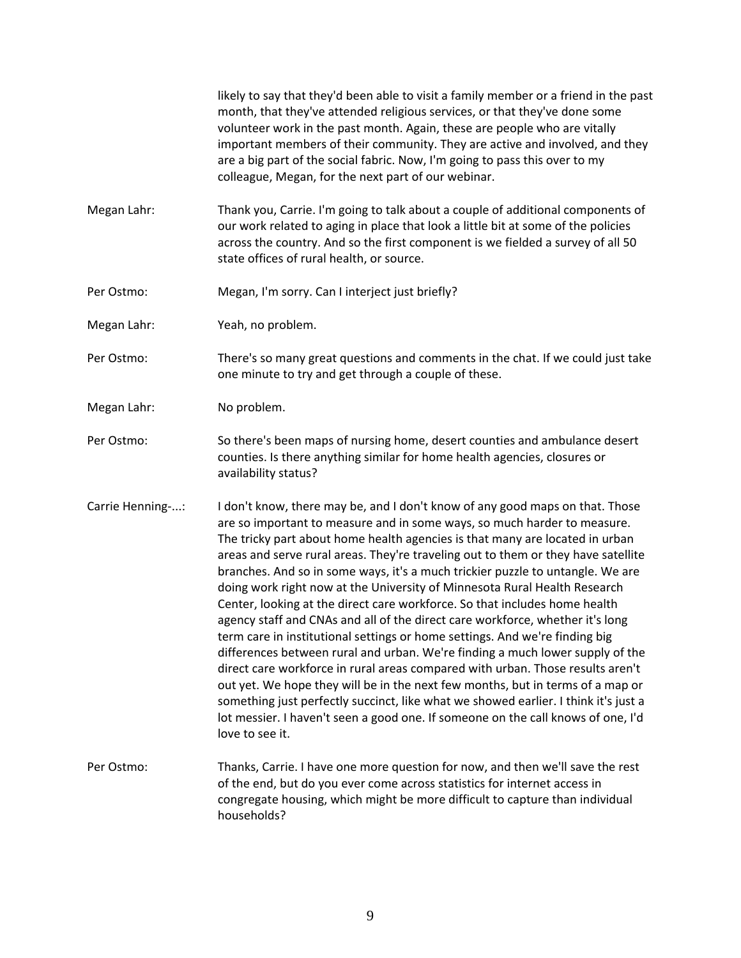likely to say that they'd been able to visit a family member or a friend in the past month, that they've attended religious services, or that they've done some volunteer work in the past month. Again, these are people who are vitally important members of their community. They are active and involved, and they are a big part of the social fabric. Now, I'm going to pass this over to my colleague, Megan, for the next part of our webinar. Megan Lahr: Thank you, Carrie. I'm going to talk about a couple of additional components of our work related to aging in place that look a little bit at some of the policies across the country. And so the first component is we fielded a survey of all 50 state offices of rural health, or source. Per Ostmo: Megan, I'm sorry. Can I interject just briefly? Megan Lahr: Yeah, no problem. Per Ostmo: There's so many great questions and comments in the chat. If we could just take one minute to try and get through a couple of these. Megan Lahr: No problem. Per Ostmo: So there's been maps of nursing home, desert counties and ambulance desert counties. Is there anything similar for home health agencies, closures or availability status? Carrie Henning-...: I don't know, there may be, and I don't know of any good maps on that. Those are so important to measure and in some ways, so much harder to measure. The tricky part about home health agencies is that many are located in urban areas and serve rural areas. They're traveling out to them or they have satellite branches. And so in some ways, it's a much trickier puzzle to untangle. We are doing work right now at the University of Minnesota Rural Health Research Center, looking at the direct care workforce. So that includes home health agency staff and CNAs and all of the direct care workforce, whether it's long term care in institutional settings or home settings. And we're finding big differences between rural and urban. We're finding a much lower supply of the direct care workforce in rural areas compared with urban. Those results aren't out yet. We hope they will be in the next few months, but in terms of a map or something just perfectly succinct, like what we showed earlier. I think it's just a lot messier. I haven't seen a good one. If someone on the call knows of one, I'd love to see it. Per Ostmo: Thanks, Carrie. I have one more question for now, and then we'll save the rest of the end, but do you ever come across statistics for internet access in congregate housing, which might be more difficult to capture than individual households?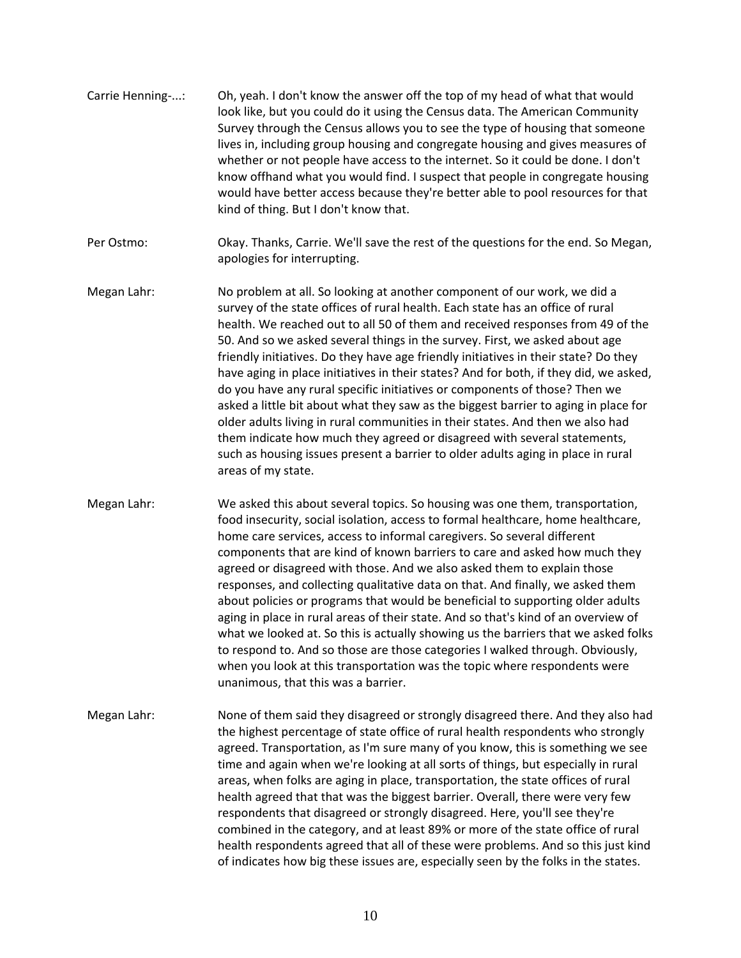- Carrie Henning-...: Oh, yeah. I don't know the answer off the top of my head of what that would look like, but you could do it using the Census data. The American Community Survey through the Census allows you to see the type of housing that someone lives in, including group housing and congregate housing and gives measures of whether or not people have access to the internet. So it could be done. I don't know offhand what you would find. I suspect that people in congregate housing would have better access because they're better able to pool resources for that kind of thing. But I don't know that.
- Per Ostmo: Okay. Thanks, Carrie. We'll save the rest of the questions for the end. So Megan, apologies for interrupting.
- Megan Lahr: No problem at all. So looking at another component of our work, we did a survey of the state offices of rural health. Each state has an office of rural health. We reached out to all 50 of them and received responses from 49 of the 50. And so we asked several things in the survey. First, we asked about age friendly initiatives. Do they have age friendly initiatives in their state? Do they have aging in place initiatives in their states? And for both, if they did, we asked, do you have any rural specific initiatives or components of those? Then we asked a little bit about what they saw as the biggest barrier to aging in place for older adults living in rural communities in their states. And then we also had them indicate how much they agreed or disagreed with several statements, such as housing issues present a barrier to older adults aging in place in rural areas of my state.
- Megan Lahr: We asked this about several topics. So housing was one them, transportation, food insecurity, social isolation, access to formal healthcare, home healthcare, home care services, access to informal caregivers. So several different components that are kind of known barriers to care and asked how much they agreed or disagreed with those. And we also asked them to explain those responses, and collecting qualitative data on that. And finally, we asked them about policies or programs that would be beneficial to supporting older adults aging in place in rural areas of their state. And so that's kind of an overview of what we looked at. So this is actually showing us the barriers that we asked folks to respond to. And so those are those categories I walked through. Obviously, when you look at this transportation was the topic where respondents were unanimous, that this was a barrier.
- Megan Lahr: None of them said they disagreed or strongly disagreed there. And they also had the highest percentage of state office of rural health respondents who strongly agreed. Transportation, as I'm sure many of you know, this is something we see time and again when we're looking at all sorts of things, but especially in rural areas, when folks are aging in place, transportation, the state offices of rural health agreed that that was the biggest barrier. Overall, there were very few respondents that disagreed or strongly disagreed. Here, you'll see they're combined in the category, and at least 89% or more of the state office of rural health respondents agreed that all of these were problems. And so this just kind of indicates how big these issues are, especially seen by the folks in the states.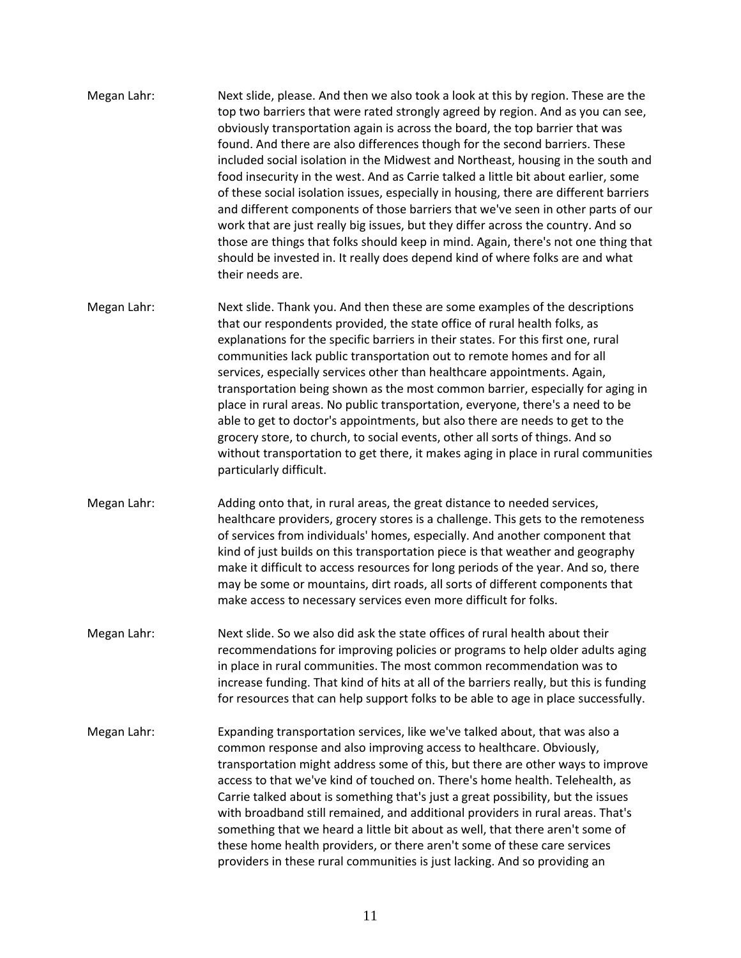- Megan Lahr: Next slide, please. And then we also took a look at this by region. These are the top two barriers that were rated strongly agreed by region. And as you can see, obviously transportation again is across the board, the top barrier that was found. And there are also differences though for the second barriers. These included social isolation in the Midwest and Northeast, housing in the south and food insecurity in the west. And as Carrie talked a little bit about earlier, some of these social isolation issues, especially in housing, there are different barriers and different components of those barriers that we've seen in other parts of our work that are just really big issues, but they differ across the country. And so those are things that folks should keep in mind. Again, there's not one thing that should be invested in. It really does depend kind of where folks are and what their needs are.
- Megan Lahr: Next slide. Thank you. And then these are some examples of the descriptions that our respondents provided, the state office of rural health folks, as explanations for the specific barriers in their states. For this first one, rural communities lack public transportation out to remote homes and for all services, especially services other than healthcare appointments. Again, transportation being shown as the most common barrier, especially for aging in place in rural areas. No public transportation, everyone, there's a need to be able to get to doctor's appointments, but also there are needs to get to the grocery store, to church, to social events, other all sorts of things. And so without transportation to get there, it makes aging in place in rural communities particularly difficult.
- Megan Lahr: Adding onto that, in rural areas, the great distance to needed services, healthcare providers, grocery stores is a challenge. This gets to the remoteness of services from individuals' homes, especially. And another component that kind of just builds on this transportation piece is that weather and geography make it difficult to access resources for long periods of the year. And so, there may be some or mountains, dirt roads, all sorts of different components that make access to necessary services even more difficult for folks.
- Megan Lahr: Next slide. So we also did ask the state offices of rural health about their recommendations for improving policies or programs to help older adults aging in place in rural communities. The most common recommendation was to increase funding. That kind of hits at all of the barriers really, but this is funding for resources that can help support folks to be able to age in place successfully.
- Megan Lahr: Expanding transportation services, like we've talked about, that was also a common response and also improving access to healthcare. Obviously, transportation might address some of this, but there are other ways to improve access to that we've kind of touched on. There's home health. Telehealth, as Carrie talked about is something that's just a great possibility, but the issues with broadband still remained, and additional providers in rural areas. That's something that we heard a little bit about as well, that there aren't some of these home health providers, or there aren't some of these care services providers in these rural communities is just lacking. And so providing an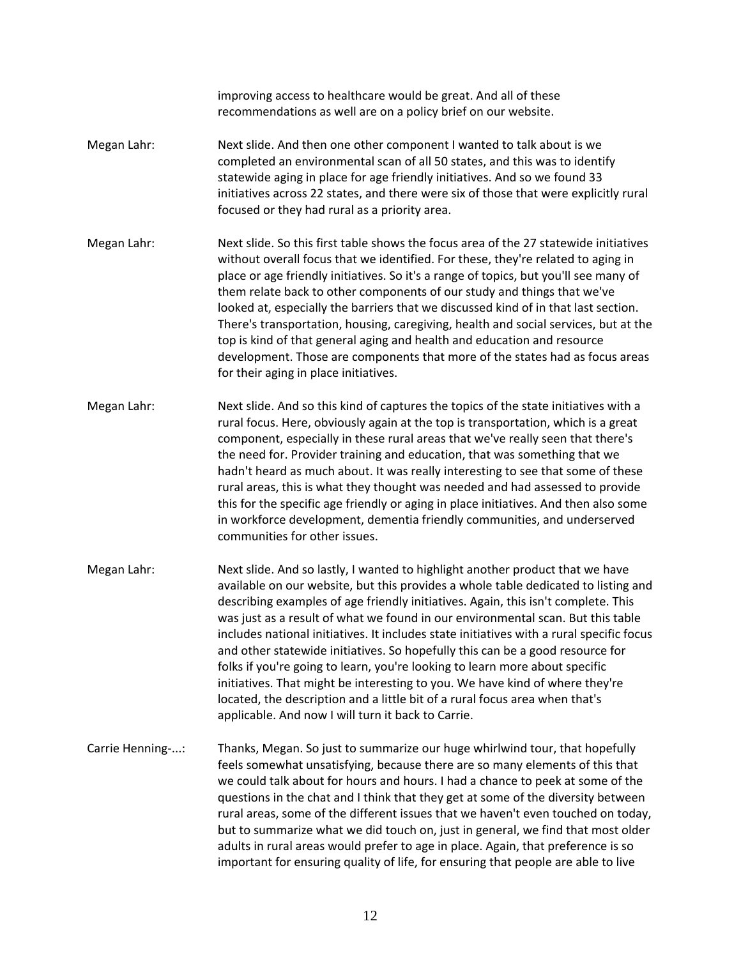improving access to healthcare would be great. And all of these recommendations as well are on a policy brief on our website.

- Megan Lahr: Next slide. And then one other component I wanted to talk about is we completed an environmental scan of all 50 states, and this was to identify statewide aging in place for age friendly initiatives. And so we found 33 initiatives across 22 states, and there were six of those that were explicitly rural focused or they had rural as a priority area.
- Megan Lahr: Next slide. So this first table shows the focus area of the 27 statewide initiatives without overall focus that we identified. For these, they're related to aging in place or age friendly initiatives. So it's a range of topics, but you'll see many of them relate back to other components of our study and things that we've looked at, especially the barriers that we discussed kind of in that last section. There's transportation, housing, caregiving, health and social services, but at the top is kind of that general aging and health and education and resource development. Those are components that more of the states had as focus areas for their aging in place initiatives.
- Megan Lahr: Next slide. And so this kind of captures the topics of the state initiatives with a rural focus. Here, obviously again at the top is transportation, which is a great component, especially in these rural areas that we've really seen that there's the need for. Provider training and education, that was something that we hadn't heard as much about. It was really interesting to see that some of these rural areas, this is what they thought was needed and had assessed to provide this for the specific age friendly or aging in place initiatives. And then also some in workforce development, dementia friendly communities, and underserved communities for other issues.
- Megan Lahr: Next slide. And so lastly, I wanted to highlight another product that we have available on our website, but this provides a whole table dedicated to listing and describing examples of age friendly initiatives. Again, this isn't complete. This was just as a result of what we found in our environmental scan. But this table includes national initiatives. It includes state initiatives with a rural specific focus and other statewide initiatives. So hopefully this can be a good resource for folks if you're going to learn, you're looking to learn more about specific initiatives. That might be interesting to you. We have kind of where they're located, the description and a little bit of a rural focus area when that's applicable. And now I will turn it back to Carrie.
- Carrie Henning-...: Thanks, Megan. So just to summarize our huge whirlwind tour, that hopefully feels somewhat unsatisfying, because there are so many elements of this that we could talk about for hours and hours. I had a chance to peek at some of the questions in the chat and I think that they get at some of the diversity between rural areas, some of the different issues that we haven't even touched on today, but to summarize what we did touch on, just in general, we find that most older adults in rural areas would prefer to age in place. Again, that preference is so important for ensuring quality of life, for ensuring that people are able to live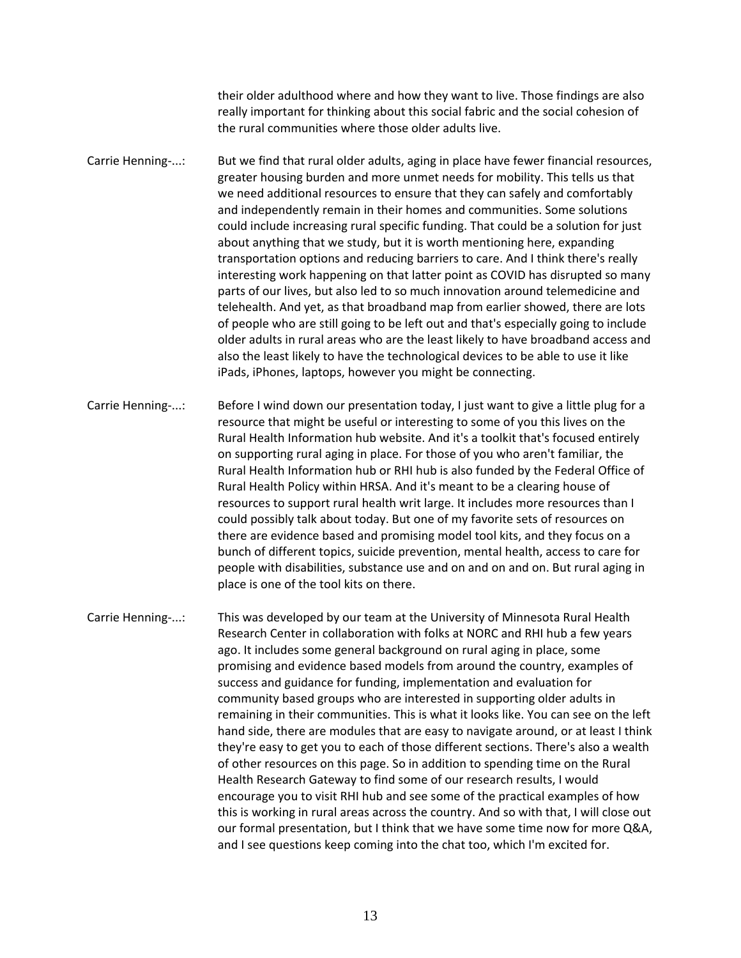their older adulthood where and how they want to live. Those findings are also really important for thinking about this social fabric and the social cohesion of the rural communities where those older adults live.

Carrie Henning-...: But we find that rural older adults, aging in place have fewer financial resources, greater housing burden and more unmet needs for mobility. This tells us that we need additional resources to ensure that they can safely and comfortably and independently remain in their homes and communities. Some solutions could include increasing rural specific funding. That could be a solution for just about anything that we study, but it is worth mentioning here, expanding transportation options and reducing barriers to care. And I think there's really interesting work happening on that latter point as COVID has disrupted so many parts of our lives, but also led to so much innovation around telemedicine and telehealth. And yet, as that broadband map from earlier showed, there are lots of people who are still going to be left out and that's especially going to include older adults in rural areas who are the least likely to have broadband access and also the least likely to have the technological devices to be able to use it like iPads, iPhones, laptops, however you might be connecting.

Carrie Henning-...: Before I wind down our presentation today, I just want to give a little plug for a resource that might be useful or interesting to some of you this lives on the Rural Health Information hub website. And it's a toolkit that's focused entirely on supporting rural aging in place. For those of you who aren't familiar, the Rural Health Information hub or RHI hub is also funded by the Federal Office of Rural Health Policy within HRSA. And it's meant to be a clearing house of resources to support rural health writ large. It includes more resources than I could possibly talk about today. But one of my favorite sets of resources on there are evidence based and promising model tool kits, and they focus on a bunch of different topics, suicide prevention, mental health, access to care for people with disabilities, substance use and on and on and on. But rural aging in place is one of the tool kits on there.

Carrie Henning-...: This was developed by our team at the University of Minnesota Rural Health Research Center in collaboration with folks at NORC and RHI hub a few years ago. It includes some general background on rural aging in place, some promising and evidence based models from around the country, examples of success and guidance for funding, implementation and evaluation for community based groups who are interested in supporting older adults in remaining in their communities. This is what it looks like. You can see on the left hand side, there are modules that are easy to navigate around, or at least I think they're easy to get you to each of those different sections. There's also a wealth of other resources on this page. So in addition to spending time on the Rural Health Research Gateway to find some of our research results, I would encourage you to visit RHI hub and see some of the practical examples of how this is working in rural areas across the country. And so with that, I will close out our formal presentation, but I think that we have some time now for more Q&A, and I see questions keep coming into the chat too, which I'm excited for.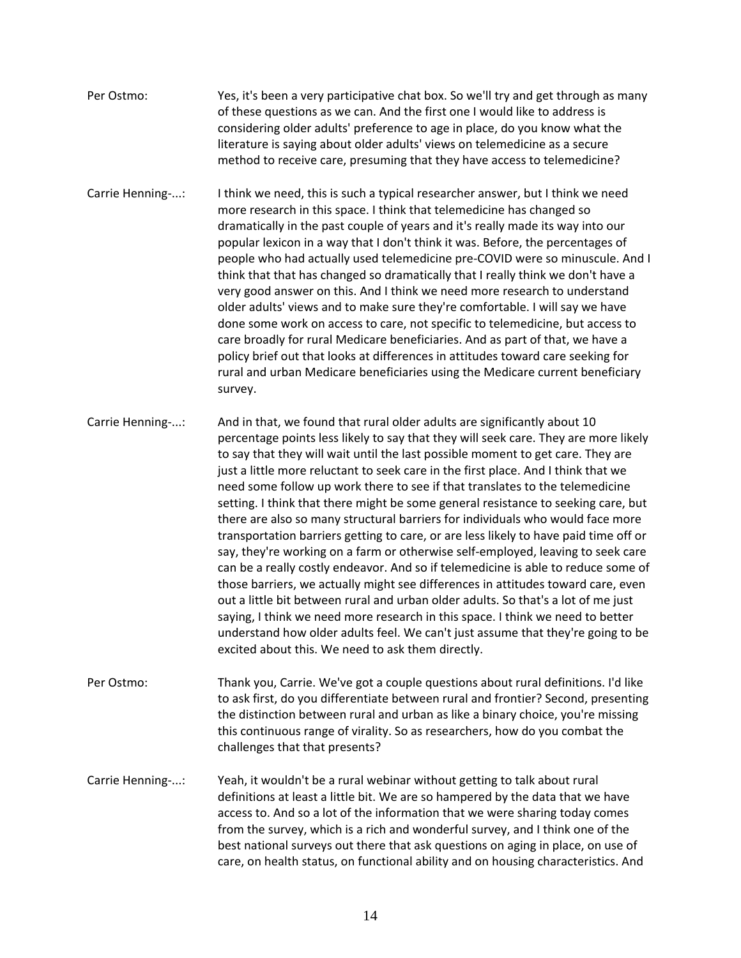- Per Ostmo: Yes, it's been a very participative chat box. So we'll try and get through as many of these questions as we can. And the first one I would like to address is considering older adults' preference to age in place, do you know what the literature is saying about older adults' views on telemedicine as a secure method to receive care, presuming that they have access to telemedicine?
- Carrie Henning-...: I think we need, this is such a typical researcher answer, but I think we need more research in this space. I think that telemedicine has changed so dramatically in the past couple of years and it's really made its way into our popular lexicon in a way that I don't think it was. Before, the percentages of people who had actually used telemedicine pre-COVID were so minuscule. And I think that that has changed so dramatically that I really think we don't have a very good answer on this. And I think we need more research to understand older adults' views and to make sure they're comfortable. I will say we have done some work on access to care, not specific to telemedicine, but access to care broadly for rural Medicare beneficiaries. And as part of that, we have a policy brief out that looks at differences in attitudes toward care seeking for rural and urban Medicare beneficiaries using the Medicare current beneficiary survey.
- Carrie Henning-...: And in that, we found that rural older adults are significantly about 10 percentage points less likely to say that they will seek care. They are more likely to say that they will wait until the last possible moment to get care. They are just a little more reluctant to seek care in the first place. And I think that we need some follow up work there to see if that translates to the telemedicine setting. I think that there might be some general resistance to seeking care, but there are also so many structural barriers for individuals who would face more transportation barriers getting to care, or are less likely to have paid time off or say, they're working on a farm or otherwise self-employed, leaving to seek care can be a really costly endeavor. And so if telemedicine is able to reduce some of those barriers, we actually might see differences in attitudes toward care, even out a little bit between rural and urban older adults. So that's a lot of me just saying, I think we need more research in this space. I think we need to better understand how older adults feel. We can't just assume that they're going to be excited about this. We need to ask them directly.
- Per Ostmo: Thank you, Carrie. We've got a couple questions about rural definitions. I'd like to ask first, do you differentiate between rural and frontier? Second, presenting the distinction between rural and urban as like a binary choice, you're missing this continuous range of virality. So as researchers, how do you combat the challenges that that presents?
- Carrie Henning-...: Yeah, it wouldn't be a rural webinar without getting to talk about rural definitions at least a little bit. We are so hampered by the data that we have access to. And so a lot of the information that we were sharing today comes from the survey, which is a rich and wonderful survey, and I think one of the best national surveys out there that ask questions on aging in place, on use of care, on health status, on functional ability and on housing characteristics. And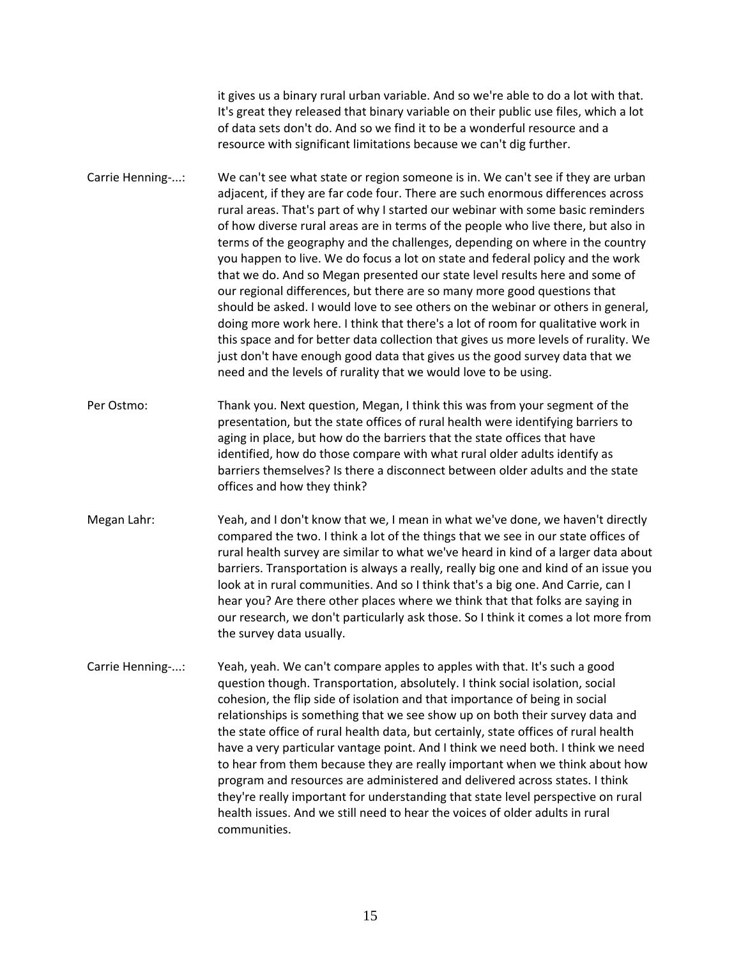it gives us a binary rural urban variable. And so we're able to do a lot with that. It's great they released that binary variable on their public use files, which a lot of data sets don't do. And so we find it to be a wonderful resource and a resource with significant limitations because we can't dig further.

- Carrie Henning-...: We can't see what state or region someone is in. We can't see if they are urban adjacent, if they are far code four. There are such enormous differences across rural areas. That's part of why I started our webinar with some basic reminders of how diverse rural areas are in terms of the people who live there, but also in terms of the geography and the challenges, depending on where in the country you happen to live. We do focus a lot on state and federal policy and the work that we do. And so Megan presented our state level results here and some of our regional differences, but there are so many more good questions that should be asked. I would love to see others on the webinar or others in general, doing more work here. I think that there's a lot of room for qualitative work in this space and for better data collection that gives us more levels of rurality. We just don't have enough good data that gives us the good survey data that we need and the levels of rurality that we would love to be using.
- Per Ostmo: Thank you. Next question, Megan, I think this was from your segment of the presentation, but the state offices of rural health were identifying barriers to aging in place, but how do the barriers that the state offices that have identified, how do those compare with what rural older adults identify as barriers themselves? Is there a disconnect between older adults and the state offices and how they think?
- Megan Lahr: Yeah, and I don't know that we, I mean in what we've done, we haven't directly compared the two. I think a lot of the things that we see in our state offices of rural health survey are similar to what we've heard in kind of a larger data about barriers. Transportation is always a really, really big one and kind of an issue you look at in rural communities. And so I think that's a big one. And Carrie, can I hear you? Are there other places where we think that that folks are saying in our research, we don't particularly ask those. So I think it comes a lot more from the survey data usually.
- Carrie Henning-...: Yeah, yeah. We can't compare apples to apples with that. It's such a good question though. Transportation, absolutely. I think social isolation, social cohesion, the flip side of isolation and that importance of being in social relationships is something that we see show up on both their survey data and the state office of rural health data, but certainly, state offices of rural health have a very particular vantage point. And I think we need both. I think we need to hear from them because they are really important when we think about how program and resources are administered and delivered across states. I think they're really important for understanding that state level perspective on rural health issues. And we still need to hear the voices of older adults in rural communities.